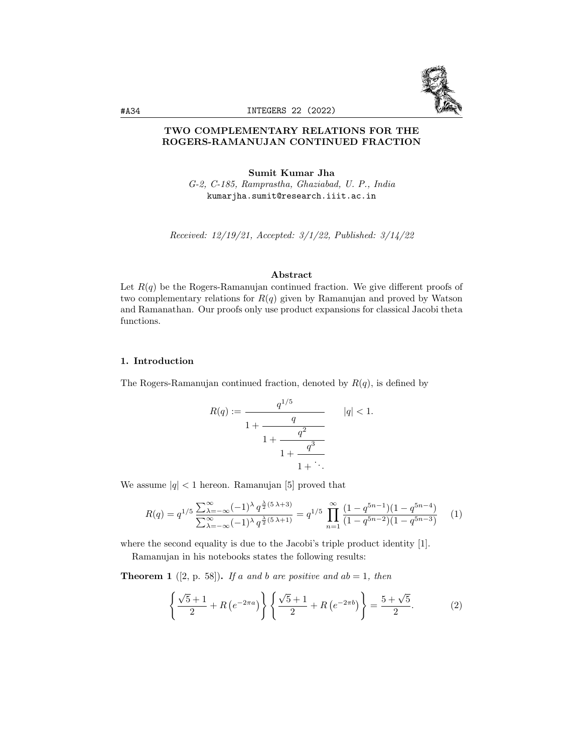

# TWO COMPLEMENTARY RELATIONS FOR THE ROGERS-RAMANUJAN CONTINUED FRACTION

Sumit Kumar Jha G-2, C-185, Ramprastha, Ghaziabad, U. P., India kumarjha.sumit@research.iiit.ac.in

Received: 12/19/21, Accepted: 3/1/22, Published: 3/14/22

### Abstract

Let  $R(q)$  be the Rogers-Ramanujan continued fraction. We give different proofs of two complementary relations for  $R(q)$  given by Ramanujan and proved by Watson and Ramanathan. Our proofs only use product expansions for classical Jacobi theta functions.

# 1. Introduction

The Rogers-Ramanujan continued fraction, denoted by  $R(q)$ , is defined by

$$
R(q) := \cfrac{q^{1/5}}{1 + \cfrac{q}{1 + \cfrac{q^2}{1 + \cfrac{q^3}{1 + \ddots}}}} \qquad |q| < 1.
$$

We assume  $|q| < 1$  hereon. Ramanujan [5] proved that

$$
R(q) = q^{1/5} \frac{\sum_{\lambda=-\infty}^{\infty} (-1)^{\lambda} q^{\frac{\lambda}{2}(5\lambda+3)}}{\sum_{\lambda=-\infty}^{\infty} (-1)^{\lambda} q^{\frac{\lambda}{2}(5\lambda+1)}} = q^{1/5} \prod_{n=1}^{\infty} \frac{(1-q^{5n-1})(1-q^{5n-4})}{(1-q^{5n-2})(1-q^{5n-3})} \tag{1}
$$

where the second equality is due to the Jacobi's triple product identity [1].

Ramanujan in his notebooks states the following results:

**Theorem 1** ([2, p. 58]). If a and b are positive and  $ab = 1$ , then

$$
\left\{\frac{\sqrt{5}+1}{2} + R\left(e^{-2\pi a}\right)\right\} \left\{\frac{\sqrt{5}+1}{2} + R\left(e^{-2\pi b}\right)\right\} = \frac{5+\sqrt{5}}{2}.
$$
 (2)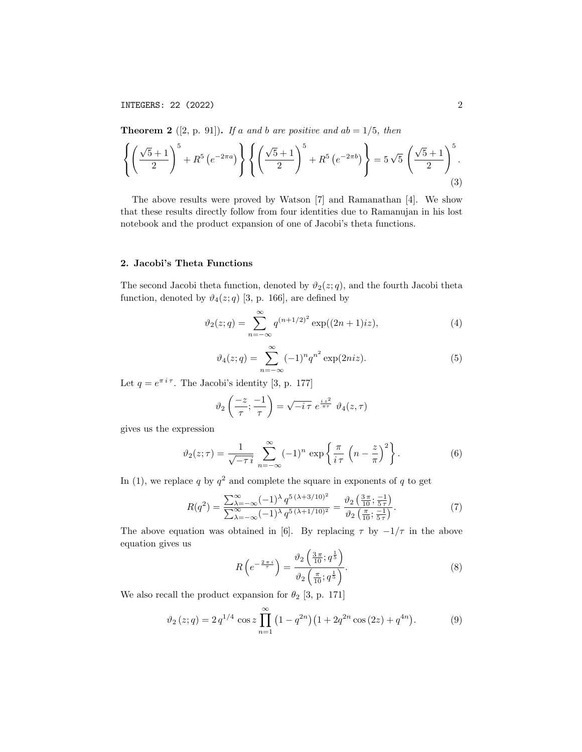INTEGERS: 22 (2022) 2

**Theorem 2** ([2, p. 91]). If a and b are positive and  $ab = 1/5$ , then

$$
\left\{ \left( \frac{\sqrt{5}+1}{2} \right)^5 + R^5 \left( e^{-2\pi a} \right) \right\} \left\{ \left( \frac{\sqrt{5}+1}{2} \right)^5 + R^5 \left( e^{-2\pi b} \right) \right\} = 5\sqrt{5} \left( \frac{\sqrt{5}+1}{2} \right)^5.
$$
\n(3)

The above results were proved by Watson [7] and Ramanathan [4]. We show that these results directly follow from four identities due to Ramanujan in his lost notebook and the product expansion of one of Jacobi's theta functions.

#### 2. Jacobi's Theta Functions

The second Jacobi theta function, denoted by  $\vartheta_2(z; q)$ , and the fourth Jacobi theta function, denoted by  $\vartheta_4(z; q)$  [3, p. 166], are defined by

$$
\vartheta_2(z;q) = \sum_{n=-\infty}^{\infty} q^{(n+1/2)^2} \exp((2n+1)iz),\tag{4}
$$

$$
\vartheta_4(z;q) = \sum_{n=-\infty}^{\infty} (-1)^n q^{n^2} \exp(2niz).
$$
 (5)

Let  $q = e^{\pi i \tau}$ . The Jacobi's identity [3, p. 177]

$$
\vartheta_2\left(\frac{-z}{\tau};\frac{-1}{\tau}\right) = \sqrt{-i\,\tau} \; e^{\frac{iz^2}{\pi\tau}} \; \vartheta_4(z,\tau)
$$

gives us the expression

$$
\vartheta_2(z;\tau) = \frac{1}{\sqrt{-\tau i}} \sum_{n=-\infty}^{\infty} (-1)^n \exp\left\{\frac{\pi}{i\tau} \left(n - \frac{z}{\pi}\right)^2\right\}.
$$
 (6)

In (1), we replace q by  $q^2$  and complete the square in exponents of q to get

$$
R(q^2) = \frac{\sum_{\lambda=-\infty}^{\infty} (-1)^{\lambda} q^{5(\lambda+3/10)^2}}{\sum_{\lambda=-\infty}^{\infty} (-1)^{\lambda} q^{5(\lambda+1/10)^2}} = \frac{\vartheta_2\left(\frac{3\pi}{10}; \frac{-1}{5\tau}\right)}{\vartheta_2\left(\frac{\pi}{10}; \frac{-1}{5\tau}\right)}.
$$
(7)

The above equation was obtained in [6]. By replacing  $\tau$  by  $-1/\tau$  in the above equation gives us

$$
R\left(e^{-\frac{2\pi i}{\tau}}\right) = \frac{\vartheta_2\left(\frac{3\pi}{10}; q^{\frac{1}{5}}\right)}{\vartheta_2\left(\frac{\pi}{10}; q^{\frac{1}{5}}\right)}.
$$
\n(8)

We also recall the product expansion for  $\theta_2$  [3, p. 171]

$$
\vartheta_2(z;q) = 2 q^{1/4} \cos z \prod_{n=1}^{\infty} \left(1 - q^{2n}\right) \left(1 + 2q^{2n} \cos\left(2z\right) + q^{4n}\right). \tag{9}
$$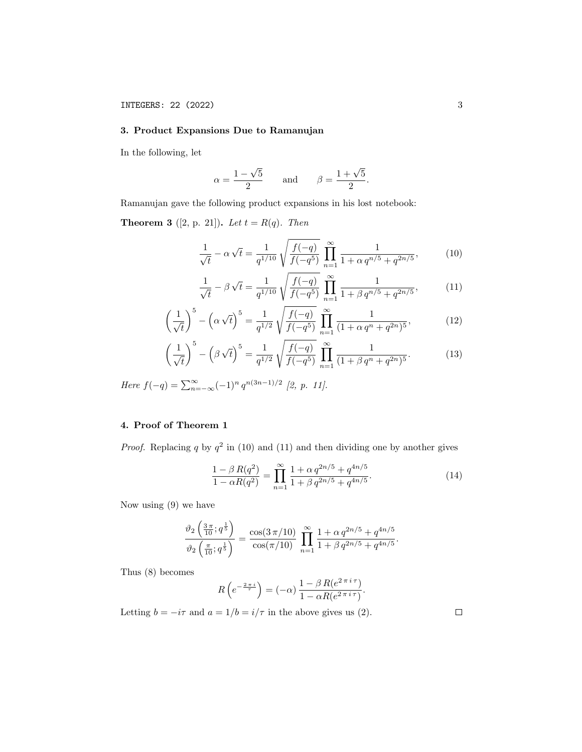## 3. Product Expansions Due to Ramanujan

In the following, let

$$
\alpha = \frac{1 - \sqrt{5}}{2}
$$
 and  $\beta = \frac{1 + \sqrt{5}}{2}$ .

Ramanujan gave the following product expansions in his lost notebook:

**Theorem 3** ([2, p. 21]). Let  $t = R(q)$ . Then

$$
\frac{1}{\sqrt{t}} - \alpha \sqrt{t} = \frac{1}{q^{1/10}} \sqrt{\frac{f(-q)}{f(-q^5)}} \prod_{n=1}^{\infty} \frac{1}{1 + \alpha q^{n/5} + q^{2n/5}},\tag{10}
$$

$$
\frac{1}{\sqrt{t}} - \beta \sqrt{t} = \frac{1}{q^{1/10}} \sqrt{\frac{f(-q)}{f(-q^5)}} \prod_{n=1}^{\infty} \frac{1}{1 + \beta q^{n/5} + q^{2n/5}},
$$
(11)

$$
\left(\frac{1}{\sqrt{t}}\right)^5 - \left(\alpha\sqrt{t}\right)^5 = \frac{1}{q^{1/2}}\sqrt{\frac{f(-q)}{f(-q^5)}}\prod_{n=1}^{\infty}\frac{1}{(1+\alpha\,q^n+q^{2n})^5},\tag{12}
$$

$$
\left(\frac{1}{\sqrt{t}}\right)^5 - \left(\beta\sqrt{t}\right)^5 = \frac{1}{q^{1/2}}\sqrt{\frac{f(-q)}{f(-q^5)}}\prod_{n=1}^{\infty}\frac{1}{(1+\beta q^n + q^{2n})^5}.\tag{13}
$$

Here  $f(-q) = \sum_{n=-\infty}^{\infty} (-1)^n q^{n(3n-1)/2}$  [2, p. 11].

# 4. Proof of Theorem 1

*Proof.* Replacing q by  $q^2$  in (10) and (11) and then dividing one by another gives

$$
\frac{1 - \beta R(q^2)}{1 - \alpha R(q^2)} = \prod_{n=1}^{\infty} \frac{1 + \alpha q^{2n/5} + q^{4n/5}}{1 + \beta q^{2n/5} + q^{4n/5}}.
$$
\n(14)

Now using (9) we have

$$
\frac{\vartheta_2\left(\frac{3\pi}{10};q^{\frac{1}{5}}\right)}{\vartheta_2\left(\frac{\pi}{10};q^{\frac{1}{5}}\right)} = \frac{\cos(3\,\pi/10)}{\cos(\pi/10)}\,\prod_{n=1}^{\infty}\frac{1+\alpha\,q^{2n/5}+q^{4n/5}}{1+\beta\,q^{2n/5}+q^{4n/5}}.
$$

Thus (8) becomes

$$
R\left(e^{-\frac{2\pi i}{\tau}}\right) = (-\alpha)\frac{1 - \beta R(e^{2\pi i \tau})}{1 - \alpha R(e^{2\pi i \tau})}.
$$

Letting  $b = -i\tau$  and  $a = 1/b = i/\tau$  in the above gives us (2).

 $\Box$